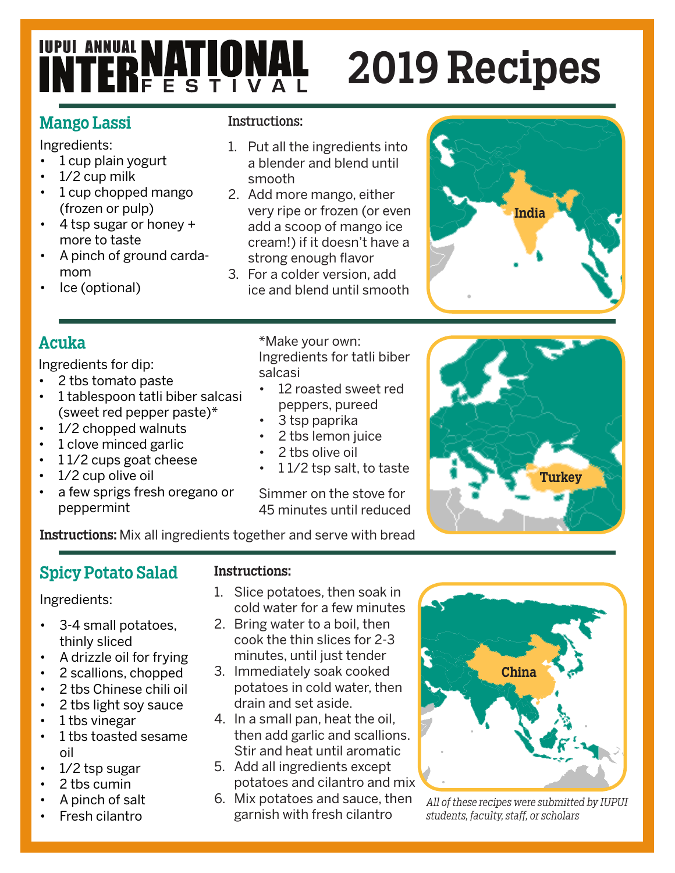# **INTERNATIONAL**

## 2019 Recipes

#### Mango Lassi

Ingredients:

- 1 cup plain yogurt
- 1/2 cup milk
- 1 cup chopped mango (frozen or pulp)
- 4 tsp sugar or honey + more to taste
- A pinch of ground cardamom
- Ice (optional)

#### Instructions:

- 1. Put all the ingredients into a blender and blend until smooth
- 2. Add more mango, either very ripe or frozen (or even add a scoop of mango ice cream!) if it doesn't have a strong enough flavor
- 3. For a colder version, add ice and blend until smooth

# India

#### Acuka

Ingredients for dip:

- 2 tbs tomato paste
- 1 tablespoon tatli biber salcasi (sweet red pepper paste)\*
- 1/2 chopped walnuts
- 1 clove minced garlic
- 1 1/2 cups goat cheese
- 1/2 cup olive oil
- a few sprigs fresh oregano or peppermint

\*Make your own: Ingredients for tatli biber salcasi

- 12 roasted sweet red peppers, pureed
- 3 tsp paprika
- 2 tbs lemon juice
- 2 tbs olive oil
- 1 1/2 tsp salt, to taste

Simmer on the stove for 45 minutes until reduced



Instructions: Mix all ingredients together and serve with bread

#### Spicy Potato Salad

Ingredients:

- 3-4 small potatoes, thinly sliced
- A drizzle oil for frying
- 2 scallions, chopped
- 2 tbs Chinese chili oil
- 2 tbs light soy sauce
- 1 tbs vinegar
- 1 tbs toasted sesame oil
- 1/2 tsp sugar
- 2 tbs cumin
- A pinch of salt
- Fresh cilantro

#### Instructions:

- 1. Slice potatoes, then soak in cold water for a few minutes
- 2. Bring water to a boil, then cook the thin slices for 2-3 minutes, until just tender
- 3. Immediately soak cooked potatoes in cold water, then drain and set aside.
- 4. In a small pan, heat the oil, then add garlic and scallions. Stir and heat until aromatic
- 5. Add all ingredients except potatoes and cilantro and mix
- 6. Mix potatoes and sauce, then garnish with fresh cilantro



*All of these recipes were submitted by IUPUI students, faculty, staff, or scholars*